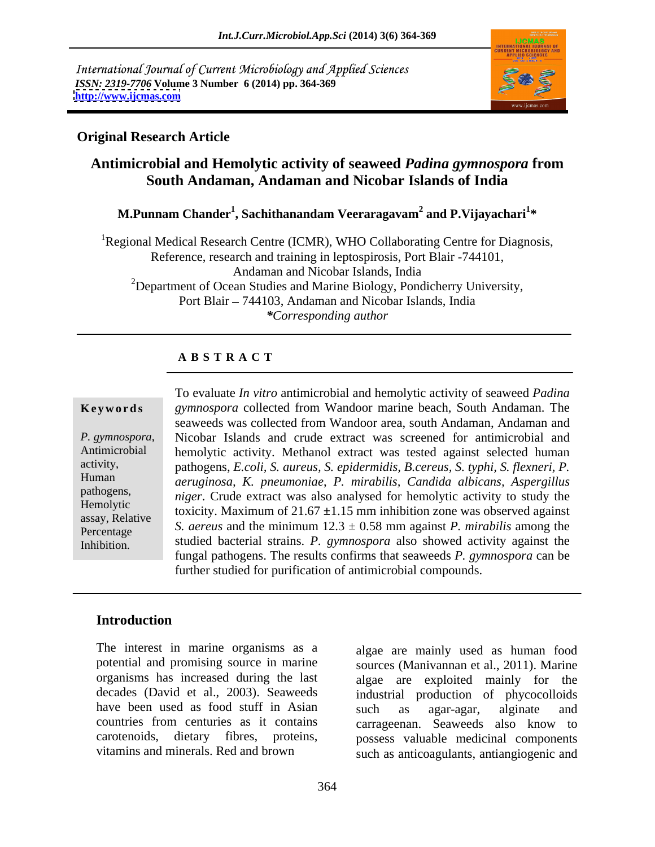International Journal of Current Microbiology and Applied Sciences *ISSN: 2319-7706* **Volume 3 Number 6 (2014) pp. 364-369 <http://www.ijcmas.com>**



### **Original Research Article**

## **Antimicrobial and Hemolytic activity of seaweed** *Padina gymnospora* **from South Andaman, Andaman and Nicobar Islands of India**

#### **M.Punnam Chander<sup>1</sup> , Sachithanandam Veeraragavam<sup>2</sup> and P.Vijayachari<sup>1</sup> \***

<sup>1</sup>Regional Medical Research Centre (ICMR), WHO Collaborating Centre for Diagnosis, Reference, research and training in leptospirosis, Port Blair -744101, Andaman and Nicobar Islands, India <sup>2</sup>Department of Ocean Studies and Marine Biology, Pondicherry University, Port Blair – 744103, Andaman and Nicobar Islands, India *\*Corresponding author* 

#### **A B S T R A C T**

**Ke ywo rds** *gymnospora* collected from Wandoor marine beach, South Andaman. The *P. gymnospora*, Nicobar Islands and crude extract was screened for antimicrobial and hemolytic activity. Methanol extract was tested against selected human activity, pathogens, *E.coli, S. aureus, S. epidermidis, B.cereus, S. typhi, S. flexneri, P.*  Human *aeruginosa, K. pneumoniae*, *P. mirabilis, Candida albicans, Aspergillus* pathogens, *niger*. Crude extract was also analysed for hemolytic activity to study the Hemolytic toxicity. Maximum of 21.67 ±1.15 mm inhibition zone was observed against assay, Relative  $\alpha$  and  $\alpha$  and  $\alpha$  and  $\alpha$  and  $\alpha$  and  $\alpha$  and  $\alpha$  and  $\alpha$  and  $\alpha$  and  $\alpha$  and  $\alpha$  and  $\alpha$  and  $\alpha$  and  $\alpha$  and  $\alpha$  and  $\alpha$  and  $\alpha$  and  $\alpha$  and  $\alpha$  and  $\alpha$  and  $\alpha$  and  $\alpha$  and  $\alpha$  an  $S.$  *aereus* and the minimum  $12.3 \pm 0.58$  mm against *P. mirabilis* among the Inhibition. Studied bacterial strains. *P. gymnospora* also showed activity against the To evaluate *In vitro* antimicrobial and hemolytic activity of seaweed *Padina* seaweeds was collected from Wandoor area, south Andaman, Andaman and Nicobar Islands and crude extract was screened for antimicrobial and fungal pathogens. The results confirms that seaweeds *P. gymnospora* can be further studied for purification of antimicrobial compounds.

### **Introduction**

The interest in marine organisms as a algae are mainly used ashuman food potential and promising source in marine sources (Manivannan et al., 2011). Marine organisms has increased during the last algae are exploited mainly for the decades (David et al., 2003). Seaweeds industrial production of phycocolloids have been used as food stuff in Asian such as agar-agar, alginate and countries from centuries as it contains carrageenan. Seaweeds also know to carotenoids, dietary fibres, proteins, possess valuable medicinal components

vitamins and minerals. Red and brown such as anticoagulants, antiangiogenic and algae are exploited mainly for such as agar-agar, alginate and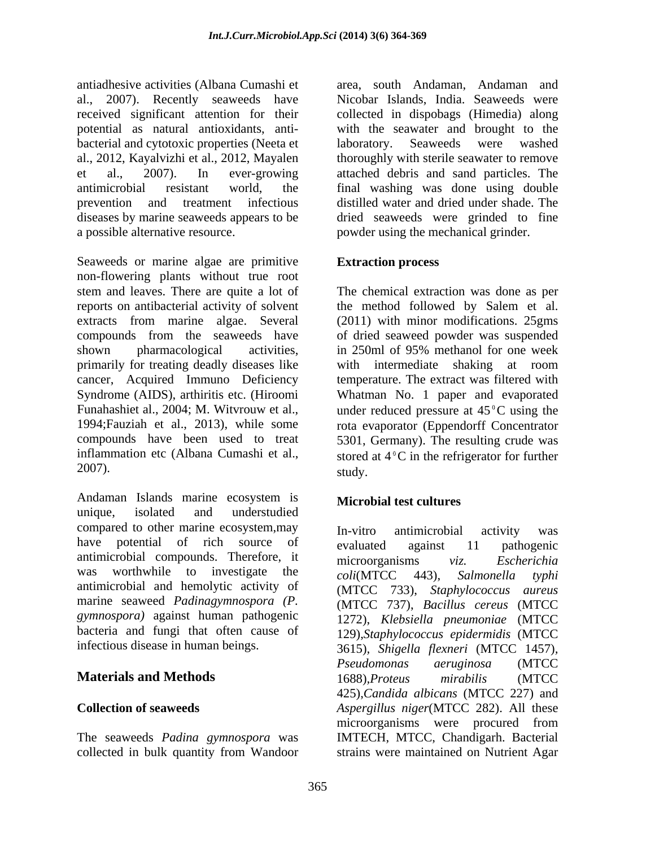antiadhesive activities (Albana Cumashi et al., 2007). Recently seaweeds have received significant attention for their collected in dispobags (Himedia) along potential as natural antioxidants, anti- with the seawater and brought to the bacterial and cytotoxic properties (Neeta et laboratory. Seaweeds were washed al., 2012, Kayalvizhi et al., 2012, Mayalen et al., 2007). In ever-growing attached debris and sand particles. The antimicrobial resistant world, the final washing was done using double prevention and treatment infectious distilled water and dried under shade. The diseases by marine seaweeds appears to be

Seaweeds or marine algae are primitive **Extraction process** non-flowering plants without true root stem and leaves. There are quite a lot of The chemical extraction was done as per reports on antibacterial activity of solvent the method followed by Salem et al. extracts from marine algae. Several (2011) with minor modifications. 25gms compounds from the seaweeds have of dried seaweed powder was suspended shown pharmacological activities, in 250ml of 95% methanol for one week primarily for treating deadly diseases like with intermediate shaking at room cancer, Acquired Immuno Deficiency temperature. The extract was filtered with Syndrome (AIDS), arthiritis etc. (Hiroomi Whatman No. 1 paper and evaporated Funahashiet al., 2004; M. Witvrouw et al., under reduced pressure at  $45^{\circ}$ C using the 1994;Fauziah et al., 2013), while some rota evaporator (Eppendorff Concentrator compounds have been used to treat 5301, Germany). The resulting crude was inflammation etc (Albana Cumashi et al., stored at  $4^{\circ}$ C in the refrigerator for further  $2007$ ).

Andaman Islands marine ecosystem is **Microphial test cultures** unique, isolated and understudied compared to other marine ecosystem, may  $\mu$ -vitro antimicrobial activity was have potential of rich source of evaluated against 11 pathogenic<br>antimicrobial compounds. Therefore, it microorganisms viz. Escherichia antimicrobial and hemolytic activity of *gymnospora)* against human pathogenic bacteria and fungi that often cause of

collected in bulk quantity from Wandoor strains were maintained on Nutrient Agar

a possible alternative resource. powder using the mechanical grinder. area, south Andaman, Andaman and Nicobar Islands, India. Seaweeds were laboratory. Seaweeds were washed thoroughly with sterile seawater to remove dried seaweeds were grinded to fine

### **Extraction process**

in 250ml of 95% methanol for one week with intermediate shaking at room study.

### **Microbial test cultures**

have potential of rich source of evaluated against 11 pathogenic was worthwhile to investigate the  $\epsilon_0$  *coli*(MTCC 443) Salmonella typhi marine seaweed *Padinagymnospora (P.* (MTCC 737), *Bacillus cereus* (MTCC infectious disease in human beings. 3615), Shigella flexneri (MTCC 1457), **Materials and Methods** 1688). Proteus mirabilis (MTCC **Collection of seaweeds** *Aspergillus niger*(MTCC 282). All these The seaweeds *Padina gymnospora* was IMTECH, MTCC, Chandigarh. Bacterial In-vitro antimicrobial activity was evaluated against 11 pathogenic microorganisms *viz. Escherichia coli*(MTCC 443), *Salmonella typhi* (MTCC 733), *Staphylococcus aureus* 1272), *Klebsiella pneumoniae* (MTCC 129),*Staphylococcus epidermidis* (MTCC 3615)*, Shigella flexneri* (MTCC 1457)*, Pseudomonas aeruginosa* (MTCC 1688)*,Proteus mirabilis* (MTCC 425),*Candida albicans* (MTCC 227) and microorganisms were procured from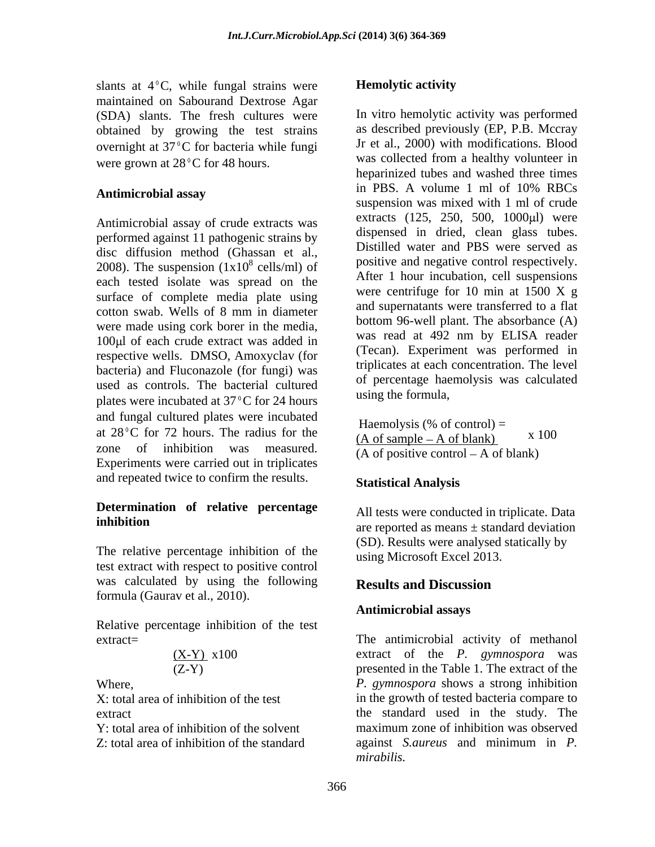slants at  $4^{\circ}$ C, while fungal strains were **Hemolytic activity** maintained on Sabourand Dextrose Agar (SDA) slants. The fresh cultures were obtained by growing the test strains overnight at  $37^{\circ}$ C for bacteria while fungi were grown at  $28^{\circ}$ C for 48 hours.

Antimicrobial assay of crude extracts was performed against 11 pathogenic strains by disc diffusion method (Ghassan et al., 2008). The suspension  $(1x10^8 \text{ cells/ml})$  of each tested isolate was spread on the surface of complete media plate using cotton swab. Wells of 8 mm in diameter were made using cork borer in the media, 100 $\mu$ l of each crude extract was added in respective wells. DMSO, Amoxyclav (for bacteria) and Fluconazole (for fungi) was used as controls. The bacterial cultured plates were incubated at  $37^{\circ}$ C for 24 hours and fungal cultured plates were incubated at  $28\degree$ C for 72 hours. The radius for the zone of inhibition was measured.  $\overline{(A \text{ of positive control - A of blank})}$ Experiments were carried out in triplicates and repeated twice to confirm the results. Statistical Analysis

# **Determination of relative percentage**

The relative percentage inhibition of the test extract with respect to positive control was calculated by using the following **Results and Discussion** formula (Gaurav et al., 2010).

Relative percentage inhibition of the test

$$
\frac{(X-Y)}{(Z-Y)} \; x100
$$

### **Hemolytic activity**

Antimicrobial assay **antimicrobial assay and the contract of the contract of the contract of the contract of the contract of the contract of the contract of the contract of the contract of the contract of the contract of** cells/ml) of  $\frac{1}{2}$  positive and negative control respectively. In vitro hemolytic activity was performed as described previously (EP, P.B. Mccray Jr et al., 2000) with modifications. Blood was collected from a healthy volunteer in heparinized tubes and washed three times in PBS. A volume 1 ml of 10% RBCs suspension was mixed with 1 ml of crude extracts (125, 250, 500, 1000 µl) were dispensed in dried, clean glass tubes. Distilled water and PBS were served as positive and negative control respectively. After 1 hour incubation, cell suspensions were centrifuge for 10 min at 1500 X g and supernatants were transferred to a flat bottom 96-well plant. The absorbance (A) was read at 492 nm by ELISA reader (Tecan). Experiment was performed in triplicates at each concentration. The level of percentage haemolysis was calculated using the formula,

> Haemolysis (% of control)  $=$  $(A \text{ of sample} - A \text{ of blank})$ x 100

### **Statistical Analysis**

**inhibition**<br>are reported as means  $\pm$  standard deviation All tests were conducted in triplicate. Data (SD). Results were analysed statically by using Microsoft Excel 2013.

### **Results and Discussion**

#### **Antimicrobial assays**

extract= The antimicrobial activity of methanol (X-Y) x100 extract of the *P. gymnospora* was (Z-Y) presented in the Table 1. The extract of the Where, *P. gymnospora* shows a strong inhibition X: total area of inhibition of the test in the growth of tested bacteria compare to extract the standard used in the study. The Y: total area of inhibition of the solvent maximum zone of inhibition was observed Z: total area of inhibition of the standard against *S.aureus* and minimum in *P.*  maximum zone of inhibition was observed *mirabilis.*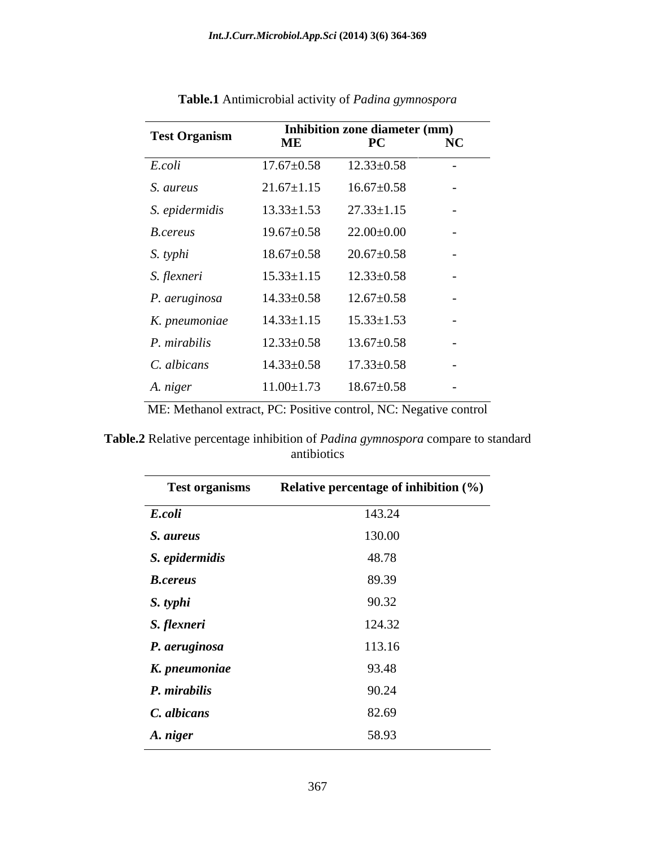| <b>Test Organism</b> | the contract of the contract of the contract of the contract of the contract of<br>Inhibition zone diameter (mm) |                  |                                                       |
|----------------------|------------------------------------------------------------------------------------------------------------------|------------------|-------------------------------------------------------|
|                      | ME                                                                                                               | $\bf{PC}$        | NC<br>the contract of the contract of the contract of |
| E.coli               | $17.67 \pm 0.58$                                                                                                 | $12.33 \pm 0.58$ | $\sim 10^{-10}$                                       |
| S. aureus            | $21.67 \pm 1.15$                                                                                                 | $16.67 \pm 0.58$ | $\sim$ $-$                                            |
| S. epidermidis       | $13.33 \pm 1.53$                                                                                                 | $27.33 \pm 1.15$ | $\sim$                                                |
| <b>B.cereus</b>      | $19.67 \pm 0.58$                                                                                                 | $22.00{\pm}0.00$ | $\sim$ $^{-1}$                                        |
| S. typhi             | $18.67 \pm 0.58$                                                                                                 | $20.67 \pm 0.58$ | $\sim$                                                |
| S. flexneri          | $15.33 \pm 1.15$                                                                                                 | $12.33 \pm 0.58$ | $\sim$                                                |
| P. aeruginosa        | $14.33 \pm 0.58$                                                                                                 | $12.67 \pm 0.58$ | $\sim$                                                |
| K. pneumoniae        | $14.33 \pm 1.15$                                                                                                 | $15.33 \pm 1.53$ | $\sim$                                                |
| P. mirabilis         | $12.33 \pm 0.58$                                                                                                 | $13.67 \pm 0.58$ | $\sim$                                                |
| C. albicans          | $14.33 \pm 0.58$                                                                                                 | $17.33 \pm 0.58$ | $\sim$                                                |
| A. niger             | $11.00 \pm 1.73$                                                                                                 | $18.67 \pm 0.58$ | $\sim$                                                |

**Table.1** Antimicrobial activity of *Padina gymnospora*

ME: Methanol extract, PC: Positive control, NC: Negative control

**Table.2** Relative percentage inhibition of *Padina gymnospora* compare to standard antibiotics

| <b>Test organisms</b> | Relative percentage of inhibition (%) |
|-----------------------|---------------------------------------|
| E.coli                | 143.24                                |
| S. aureus             | 130.00                                |
| S. epidermidis        | 48.78                                 |
| <b>B.cereus</b>       | 89.39                                 |
| S. typhi              | 90.32                                 |
| S. flexneri           | 124.32                                |
| P. aeruginosa         | 113.16                                |
| K. pneumoniae         | 93.48                                 |
| P. mirabilis          | 90.24                                 |
| C. albicans           | 82.69                                 |
| A. niger              | 58.93                                 |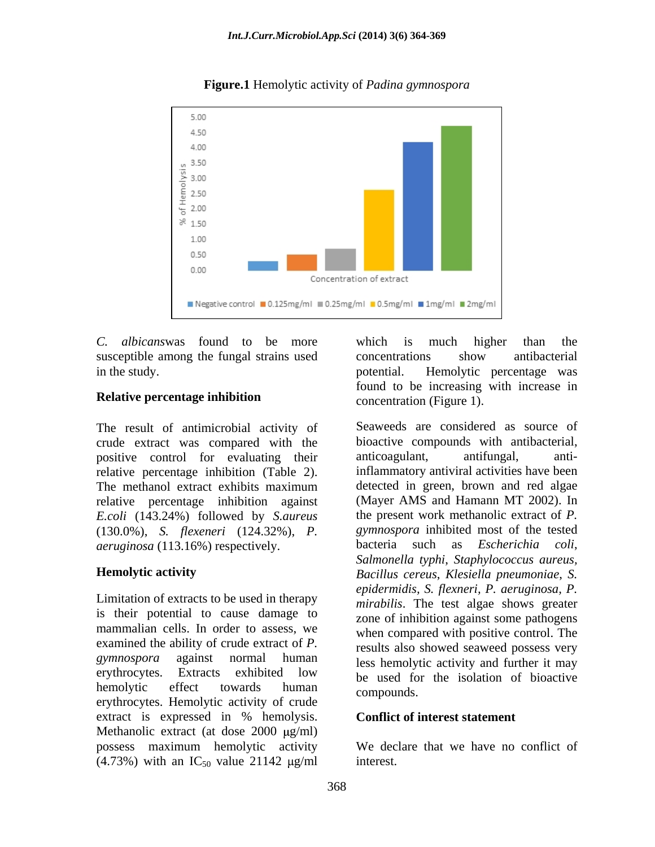

### **Figure.1** Hemolytic activity of *Padina gymnospora*

*C. albicans*was found to be more susceptible among the fungal strains used concentrations show antibacterial

The result of antimicrobial activity of crude extract was compared with the positive control for evaluating their anticoagulant, antifungal, antirelative percentage inhibition (Table 2). relative percentage inhibition against *E.coli* (143.24%) followed by *S.aureus* (130.0%), *S. flexeneri* (124.32%), *P. aeruginosa* (113.16%) respectively.

Limitation of extracts to be used in therapy is their potential to cause damage to mammalian cells. In order to assess, we examined the ability of crude extract of *P.*  erythrocytes. Hemolytic activity of crude compounds. extract is expressed in % hemolysis. Conflict of interest statement Methanolic extract (at dose  $2000 \mu g/ml$ ) possess maximum hemolytic activity (4.73%) with an  $IC_{50}$  value 21142  $\mu$ g/ml

in the study. potential. Hemolytic percentage was **Relative percentage inhibition** concentration (Figure 1) which is much higher than the concentrations show antibacterial found to be increasing with increase in concentration (Figure 1).

The methanol extract exhibits maximum detected in green, brown and red algae **Hemolytic activity**  *Bacillus cereus*, *Klesiella pneumoniae*, *S.*  gymnospora against normal human less hemolytic activity and further it may erythrocytes. Extracts exhibited low be used for the isolation of bioactive hemolytic effect towards human compounds Seaweeds are considered as source of bioactive compounds with antibacterial, anticoagulant, antifungal, antiinflammatory antiviral activities have been detected in green, brown and red algae (Mayer AMS and Hamann MT 2002). In the present work methanolic extract of *P. gymnospora* inhibited most of the tested bacteria such as *Escherichia coli*, *Salmonella typhi*, *Staphylococcus aureus, epidermidis, S. flexneri, P. aeruginosa, P. mirabilis*. The test algae shows greater zone of inhibition against some pathogens when compared with positive control. The results also showed seaweed possess very be used for the isolation of bioactive compounds.

### **Conflict of interest statement**

We declare that we have no conflict of interest.